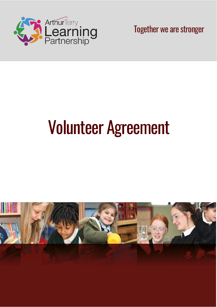

Together we are stronger

# Volunteer Agreement

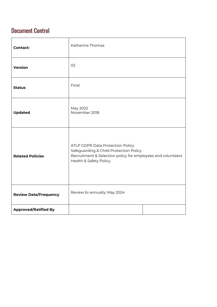## Document Control

| <b>Contact:</b>              | Katherine Thomas                                                                                                                                                    |  |  |  |  |
|------------------------------|---------------------------------------------------------------------------------------------------------------------------------------------------------------------|--|--|--|--|
| <b>Version</b>               | 02                                                                                                                                                                  |  |  |  |  |
| <b>Status</b>                | Final                                                                                                                                                               |  |  |  |  |
| <b>Updated</b>               | May 2022<br>November 2018                                                                                                                                           |  |  |  |  |
| <b>Related Policies</b>      | ATLP GDPR Data Protection Policy<br>Safeguarding & Child Protection Policy<br>Recruitment & Selection policy for employees and volunteers<br>Health & Safety Policy |  |  |  |  |
| <b>Review Date/Frequency</b> | Review bi-annually; May 2024                                                                                                                                        |  |  |  |  |
| <b>Approved/Ratified By</b>  |                                                                                                                                                                     |  |  |  |  |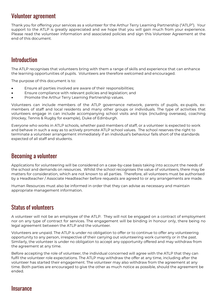#### Volunteer agreement

Thank you for offering your services as a volunteer for the Arthur Terry Learning Partnership ("ATLP"). Your support to the ATLP is greatly appreciated and we hope that you will gain much from your experience. Please read the volunteer information and associated policies and sign this Volunteer Agreement at the end of this document.

#### **Introduction**

The ATLP recognises that volunteers bring with them a range of skills and experience that can enhance the learning opportunities of pupils. Volunteers are therefore welcomed and encouraged.

The purpose of this document is to:

- Ensure all parties involved are aware of their responsibilities;
- Ensure compliance with relevant policies and legislation; and
- Promote the Arthur Terry Learning Partnership values.

Volunteers can include members of the ATLP governance network, parents of pupils, ex-pupils, exmembers of staff and local residents and many other groups or individuals. The type of activities that volunteers engage in can include accompanying school visits and trips (including overseas), coaching (Hockey, Tennis & Rugby for example), Duke of Edinburgh.

Everyone who works in ATLP schools, whether paid members of staff, or a volunteer is expected to work and behave in such a way as to actively promote ATLP school values. The school reserves the right to terminate a volunteer arrangement immediately if an individual's behaviour falls short of the standards expected of all staff and students.

#### Becoming a volunteer

Applications for volunteering will be considered on a case-by-case basis taking into account the needs of the school and demands on resources. Whilst the school recognises the value of volunteers, there may be matters for consideration, which are not known to all parties. Therefore, all volunteers must be authorised by a Headteacher / Associate Headteacher before requests are agreed to or any arrangements are made.

Human Resources must also be informed in order that they can advise as necessary and maintain appropriate management information.

#### Status of volunteers

A volunteer will not be an employee of the ATLP. They will not be engaged on a contract of employment nor on any type of contract for services. The engagement will be binding in honour only, there being no legal agreement between the ATLP and the volunteer.

Volunteers are unpaid. The ATLP is under no obligation to offer or to continue to offer any volunteering opportunity to any person, irrespective of their carrying out volunteering work currently or in the past. Similarly, the volunteer is under no obligation to accept any opportunity offered and may withdraw from the agreement at any time.

Before accepting the role of volunteer, the individual concerned will agree with the ATLP that they can fulfil the volunteer role expectations. The ATLP may withdraw the offer at any time, including after the volunteer has started their engagement. The volunteer may also withdraw from the agreement at any time. Both parties are encouraged to give the other as much notice as possible, should the agreement be ended.

#### **Insurance**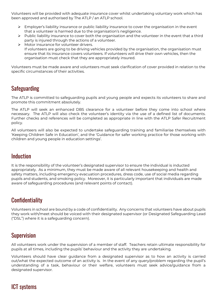Volunteers will be provided with adequate insurance cover whilst undertaking voluntary work which has been approved and authorised by The ATLP / an ATLP school.

- $\triangleright$  Employer's liability insurance or public liability insurance to cover the organisation in the event that a volunteer is harmed due to the organisation's negligence.
- $\triangleright$  Public liability insurance to cover both the organisation and the volunteer in the event that a third party is injured through the actions of a volunteer.
- Motor insurance for volunteer drivers. If volunteers are going to be driving vehicles provided by the organisation, the organisation must ensure that its insurance covers volunteers. If volunteers will drive their own vehicles, then the organisation must check that they are appropriately insured.

Volunteers must be made aware and volunteers must seek clarification of cover provided in relation to the specific circumstances of their activities.

#### Safeguarding

The ATLP is committed to safeguarding pupils and young people and expects its volunteers to share and promote this commitment absolutely.

The ATLP will seek an enhanced DBS clearance for a volunteer before they come into school where necessary. The ATLP will also check the volunteer's identity via the use of a defined list of documents. Further checks and references will be completed as appropriate in line with the ATLP Safer Recruitment policy.

All volunteers will also be expected to undertake safeguarding training and familiarise themselves with 'Keeping Children Safe in Education', and the 'Guidance for safer working practice for those working with children and young people in education settings'.

#### Induction

It is the responsibility of the volunteer's designated supervisor to ensure the individual is inducted appropriately. As a minimum, they must be made aware of all relevant housekeeping and health and safety matters, including emergency evacuation procedures, dress code, use of social media regarding pupils and students, and smoking policy. Moreover, it is particularly important that individuals are made aware of safeguarding procedures (and relevant points of contact).

## **Confidentiality**

Volunteers in school are bound by a code of confidentiality. Any concerns that volunteers have about pupils they work with/meet should be voiced with their designated supervisor (or Designated Safeguarding Lead ("DSL") where it is a safeguarding concern).

#### **Supervision**

All volunteers work under the supervision of a member of staff. Teachers retain ultimate responsibility for pupils at all times, including the pupils' behaviour and the activity they are undertaking.

Volunteers should have clear guidance from a designated supervisor as to how an activity is carried out/what the expected outcome of an activity is. In the event of any query/problem regarding the pupil's understanding of a task, behaviour or their welfare, volunteers must seek advice/guidance from a designated supervisor.

## ICT systems